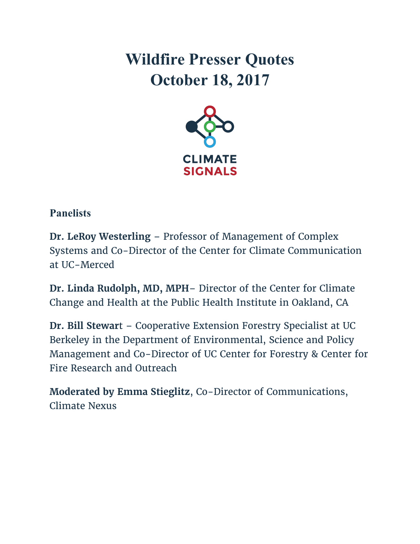# **Wildfire Presser Quotes October 18, 2017**



## **Panelists**

**Dr. LeRoy Westerling** – Professor of Management of Complex Systems and Co-Director of the Center for Climate Communication at UC-Merced

**Dr. Linda Rudolph, MD, MPH**– Director of the Center for Climate Change and Health at the Public Health Institute in Oakland, CA

**Dr. Bill Stewar**t – Cooperative Extension Forestry Specialist at UC Berkeley in the Department of Environmental, Science and Policy Management and Co-Director of UC Center for Forestry & Center for Fire Research and Outreach

**Moderated by Emma Stieglitz**, Co-Director of Communications, Climate Nexus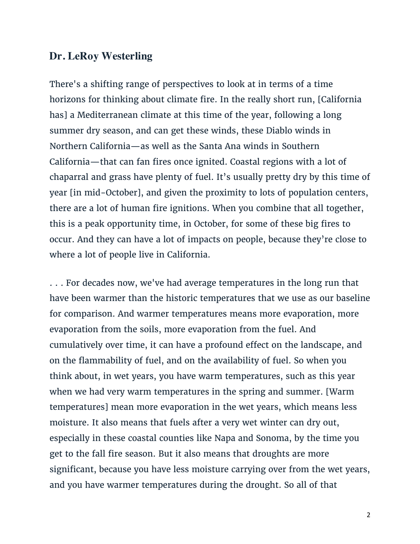#### **Dr. LeRoy Westerling**

There's a shifting range of perspectives to look at in terms of a time horizons for thinking about climate fire. In the really short run, [California has] a Mediterranean climate at this time of the year, following a long summer dry season, and can get these winds, these Diablo winds in Northern California—as well as the Santa Ana winds in Southern California—that can fan fires once ignited. Coastal regions with a lot of chaparral and grass have plenty of fuel. It's usually pretty dry by this time of year [in mid-October], and given the proximity to lots of population centers, there are a lot of human fire ignitions. When you combine that all together, this is a peak opportunity time, in October, for some of these big fires to occur. And they can have a lot of impacts on people, because they're close to where a lot of people live in California.

. . . For decades now, we've had average temperatures in the long run that have been warmer than the historic temperatures that we use as our baseline for comparison. And warmer temperatures means more evaporation, more evaporation from the soils, more evaporation from the fuel. And cumulatively over time, it can have a profound effect on the landscape, and on the flammability of fuel, and on the availability of fuel. So when you think about, in wet years, you have warm temperatures, such as this year when we had very warm temperatures in the spring and summer. [Warm temperatures] mean more evaporation in the wet years, which means less moisture. It also means that fuels after a very wet winter can dry out, especially in these coastal counties like Napa and Sonoma, by the time you get to the fall fire season. But it also means that droughts are more significant, because you have less moisture carrying over from the wet years, and you have warmer temperatures during the drought. So all of that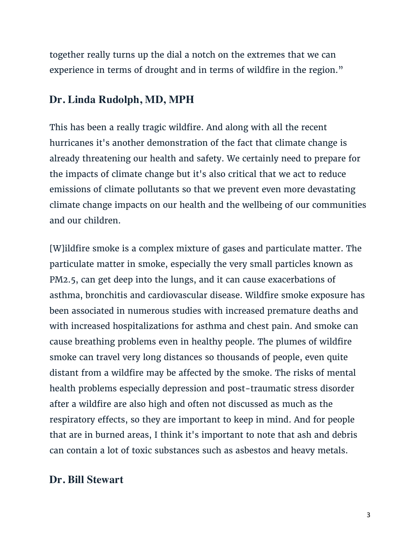together really turns up the dial a notch on the extremes that we can experience in terms of drought and in terms of wildfire in the region."

### **Dr. Linda Rudolph, MD, MPH**

This has been a really tragic wildfire. And along with all the recent hurricanes it's another demonstration of the fact that climate change is already threatening our health and safety. We certainly need to prepare for the impacts of climate change but it's also critical that we act to reduce emissions of climate pollutants so that we prevent even more devastating climate change impacts on our health and the wellbeing of our communities and our children.

[W]ildfire smoke is a complex mixture of gases and particulate matter. The particulate matter in smoke, especially the very small particles known as PM2.5, can get deep into the lungs, and it can cause exacerbations of asthma, bronchitis and cardiovascular disease. Wildfire smoke exposure has been associated in numerous studies with increased premature deaths and with increased hospitalizations for asthma and chest pain. And smoke can cause breathing problems even in healthy people. The plumes of wildfire smoke can travel very long distances so thousands of people, even quite distant from a wildfire may be affected by the smoke. The risks of mental health problems especially depression and post-traumatic stress disorder after a wildfire are also high and often not discussed as much as the respiratory effects, so they are important to keep in mind. And for people that are in burned areas, I think it's important to note that ash and debris can contain a lot of toxic substances such as asbestos and heavy metals.

### **Dr. Bill Stewart**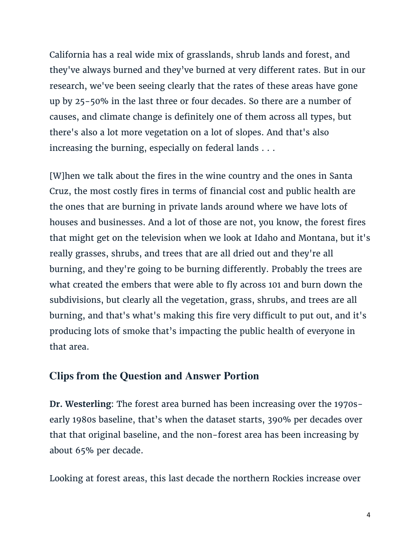California has a real wide mix of grasslands, shrub lands and forest, and they've always burned and they've burned at very different rates. But in our research, we've been seeing clearly that the rates of these areas have gone up by 25-50% in the last three or four decades. So there are a number of causes, and climate change is definitely one of them across all types, but there's also a lot more vegetation on a lot of slopes. And that's also increasing the burning, especially on federal lands . . .

[W]hen we talk about the fires in the wine country and the ones in Santa Cruz, the most costly fires in terms of financial cost and public health are the ones that are burning in private lands around where we have lots of houses and businesses. And a lot of those are not, you know, the forest fires that might get on the television when we look at Idaho and Montana, but it's really grasses, shrubs, and trees that are all dried out and they're all burning, and they're going to be burning differently. Probably the trees are what created the embers that were able to fly across 101 and burn down the subdivisions, but clearly all the vegetation, grass, shrubs, and trees are all burning, and that's what's making this fire very difficult to put out, and it's producing lots of smoke that's impacting the public health of everyone in that area.

#### **Clips from the Question and Answer Portion**

**Dr. Westerling**: The forest area burned has been increasing over the 1970searly 1980s baseline, that's when the dataset starts, 390% per decades over that that original baseline, and the non-forest area has been increasing by about 65% per decade.

Looking at forest areas, this last decade the northern Rockies increase over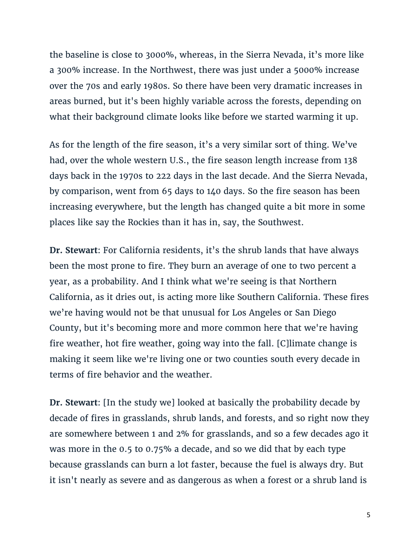the baseline is close to 3000%, whereas, in the Sierra Nevada, it's more like a 300% increase. In the Northwest, there was just under a 5000% increase over the 70s and early 1980s. So there have been very dramatic increases in areas burned, but it's been highly variable across the forests, depending on what their background climate looks like before we started warming it up.

As for the length of the fire season, it's a very similar sort of thing. We've had, over the whole western U.S., the fire season length increase from 138 days back in the 1970s to 222 days in the last decade. And the Sierra Nevada, by comparison, went from 65 days to 140 days. So the fire season has been increasing everywhere, but the length has changed quite a bit more in some places like say the Rockies than it has in, say, the Southwest.

**Dr. Stewart**: For California residents, it's the shrub lands that have always been the most prone to fire. They burn an average of one to two percent a year, as a probability. And I think what we're seeing is that Northern California, as it dries out, is acting more like Southern California. These fires we're having would not be that unusual for Los Angeles or San Diego County, but it's becoming more and more common here that we're having fire weather, hot fire weather, going way into the fall. [C]limate change is making it seem like we're living one or two counties south every decade in terms of fire behavior and the weather.

**Dr. Stewart**: [In the study we] looked at basically the probability decade by decade of fires in grasslands, shrub lands, and forests, and so right now they are somewhere between 1 and 2% for grasslands, and so a few decades ago it was more in the 0.5 to 0.75% a decade, and so we did that by each type because grasslands can burn a lot faster, because the fuel is always dry. But it isn't nearly as severe and as dangerous as when a forest or a shrub land is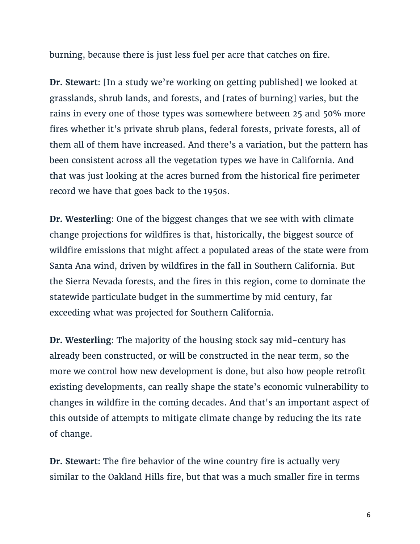burning, because there is just less fuel per acre that catches on fire.

**Dr. Stewart**: [In a study we're working on getting published] we looked at grasslands, shrub lands, and forests, and [rates of burning] varies, but the rains in every one of those types was somewhere between 25 and 50% more fires whether it's private shrub plans, federal forests, private forests, all of them all of them have increased. And there's a variation, but the pattern has been consistent across all the vegetation types we have in California. And that was just looking at the acres burned from the historical fire perimeter record we have that goes back to the 1950s.

**Dr. Westerling**: One of the biggest changes that we see with with climate change projections for wildfires is that, historically, the biggest source of wildfire emissions that might affect a populated areas of the state were from Santa Ana wind, driven by wildfires in the fall in Southern California. But the Sierra Nevada forests, and the fires in this region, come to dominate the statewide particulate budget in the summertime by mid century, far exceeding what was projected for Southern California.

**Dr. Westerling**: The majority of the housing stock say mid-century has already been constructed, or will be constructed in the near term, so the more we control how new development is done, but also how people retrofit existing developments, can really shape the state's economic vulnerability to changes in wildfire in the coming decades. And that's an important aspect of this outside of attempts to mitigate climate change by reducing the its rate of change.

**Dr. Stewart**: The fire behavior of the wine country fire is actually very similar to the Oakland Hills fire, but that was a much smaller fire in terms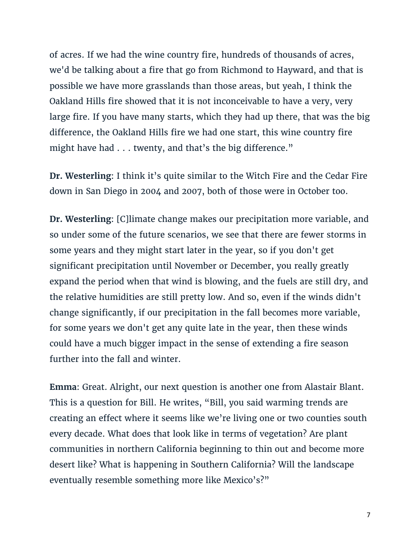of acres. If we had the wine country fire, hundreds of thousands of acres, we'd be talking about a fire that go from Richmond to Hayward, and that is possible we have more grasslands than those areas, but yeah, I think the Oakland Hills fire showed that it is not inconceivable to have a very, very large fire. If you have many starts, which they had up there, that was the big difference, the Oakland Hills fire we had one start, this wine country fire might have had . . . twenty, and that's the big difference."

**Dr. Westerling**: I think it's quite similar to the Witch Fire and the Cedar Fire down in San Diego in 2004 and 2007, both of those were in October too.

**Dr. Westerling**: [C]limate change makes our precipitation more variable, and so under some of the future scenarios, we see that there are fewer storms in some years and they might start later in the year, so if you don't get significant precipitation until November or December, you really greatly expand the period when that wind is blowing, and the fuels are still dry, and the relative humidities are still pretty low. And so, even if the winds didn't change significantly, if our precipitation in the fall becomes more variable, for some years we don't get any quite late in the year, then these winds could have a much bigger impact in the sense of extending a fire season further into the fall and winter.

**Emma**: Great. Alright, our next question is another one from Alastair Blant. This is a question for Bill. He writes, "Bill, you said warming trends are creating an effect where it seems like we're living one or two counties south every decade. What does that look like in terms of vegetation? Are plant communities in northern California beginning to thin out and become more desert like? What is happening in Southern California? Will the landscape eventually resemble something more like Mexico's?"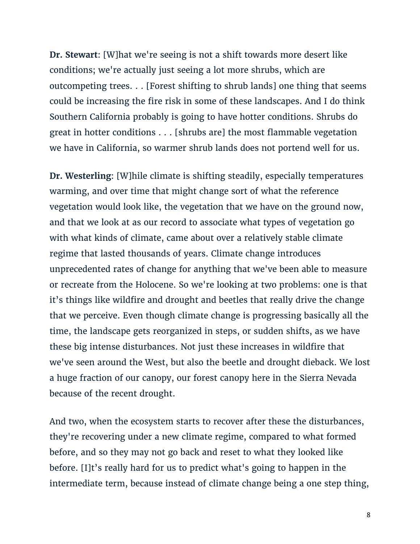**Dr. Stewart**: [W]hat we're seeing is not a shift towards more desert like conditions; we're actually just seeing a lot more shrubs, which are outcompeting trees. . . [Forest shifting to shrub lands] one thing that seems could be increasing the fire risk in some of these landscapes. And I do think Southern California probably is going to have hotter conditions. Shrubs do great in hotter conditions . . . [shrubs are] the most flammable vegetation we have in California, so warmer shrub lands does not portend well for us.

**Dr. Westerling**: [W]hile climate is shifting steadily, especially temperatures warming, and over time that might change sort of what the reference vegetation would look like, the vegetation that we have on the ground now, and that we look at as our record to associate what types of vegetation go with what kinds of climate, came about over a relatively stable climate regime that lasted thousands of years. Climate change introduces unprecedented rates of change for anything that we've been able to measure or recreate from the Holocene. So we're looking at two problems: one is that it's things like wildfire and drought and beetles that really drive the change that we perceive. Even though climate change is progressing basically all the time, the landscape gets reorganized in steps, or sudden shifts, as we have these big intense disturbances. Not just these increases in wildfire that we've seen around the West, but also the beetle and drought dieback. We lost a huge fraction of our canopy, our forest canopy here in the Sierra Nevada because of the recent drought.

And two, when the ecosystem starts to recover after these the disturbances, they're recovering under a new climate regime, compared to what formed before, and so they may not go back and reset to what they looked like before. [I]t's really hard for us to predict what's going to happen in the intermediate term, because instead of climate change being a one step thing,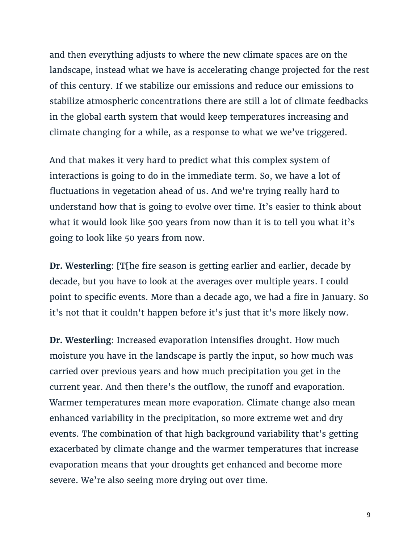and then everything adjusts to where the new climate spaces are on the landscape, instead what we have is accelerating change projected for the rest of this century. If we stabilize our emissions and reduce our emissions to stabilize atmospheric concentrations there are still a lot of climate feedbacks in the global earth system that would keep temperatures increasing and climate changing for a while, as a response to what we we've triggered.

And that makes it very hard to predict what this complex system of interactions is going to do in the immediate term. So, we have a lot of fluctuations in vegetation ahead of us. And we're trying really hard to understand how that is going to evolve over time. It's easier to think about what it would look like 500 years from now than it is to tell you what it's going to look like 50 years from now.

**Dr. Westerling**: [T[he fire season is getting earlier and earlier, decade by decade, but you have to look at the averages over multiple years. I could point to specific events. More than a decade ago, we had a fire in January. So it's not that it couldn't happen before it's just that it's more likely now.

**Dr. Westerling**: Increased evaporation intensifies drought. How much moisture you have in the landscape is partly the input, so how much was carried over previous years and how much precipitation you get in the current year. And then there's the outflow, the runoff and evaporation. Warmer temperatures mean more evaporation. Climate change also mean enhanced variability in the precipitation, so more extreme wet and dry events. The combination of that high background variability that's getting exacerbated by climate change and the warmer temperatures that increase evaporation means that your droughts get enhanced and become more severe. We're also seeing more drying out over time.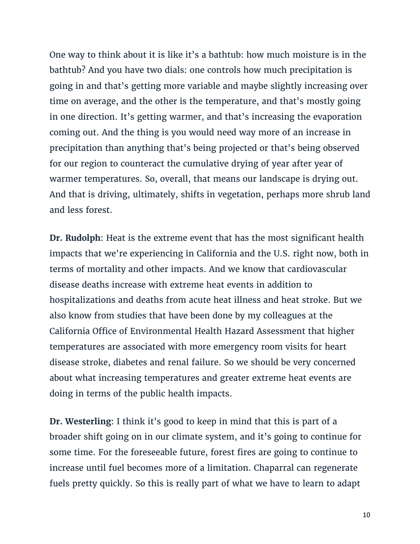One way to think about it is like it's a bathtub: how much moisture is in the bathtub? And you have two dials: one controls how much precipitation is going in and that's getting more variable and maybe slightly increasing over time on average, and the other is the temperature, and that's mostly going in one direction. It's getting warmer, and that's increasing the evaporation coming out. And the thing is you would need way more of an increase in precipitation than anything that's being projected or that's being observed for our region to counteract the cumulative drying of year after year of warmer temperatures. So, overall, that means our landscape is drying out. And that is driving, ultimately, shifts in vegetation, perhaps more shrub land and less forest.

**Dr. Rudolph**: Heat is the extreme event that has the most significant health impacts that we're experiencing in California and the U.S. right now, both in terms of mortality and other impacts. And we know that cardiovascular disease deaths increase with extreme heat events in addition to hospitalizations and deaths from acute heat illness and heat stroke. But we also know from studies that have been done by my colleagues at the California Office of Environmental Health Hazard Assessment that higher temperatures are associated with more emergency room visits for heart disease stroke, diabetes and renal failure. So we should be very concerned about what increasing temperatures and greater extreme heat events are doing in terms of the public health impacts.

**Dr. Westerling**: I think it's good to keep in mind that this is part of a broader shift going on in our climate system, and it's going to continue for some time. For the foreseeable future, forest fires are going to continue to increase until fuel becomes more of a limitation. Chaparral can regenerate fuels pretty quickly. So this is really part of what we have to learn to adapt